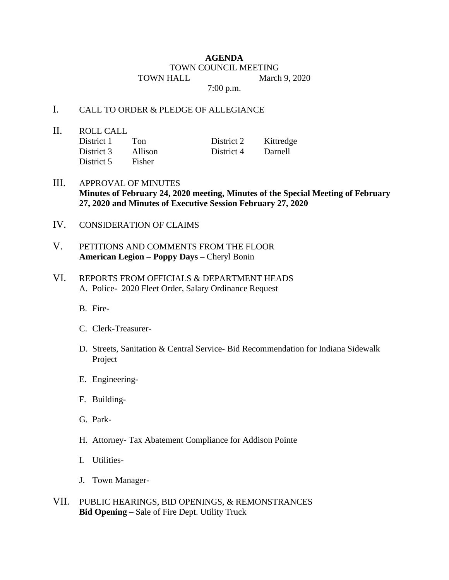## **AGENDA** TOWN COUNCIL MEETING TOWN HALL March 9, 2020

7:00 p.m.

## I. CALL TO ORDER & PLEDGE OF ALLEGIANCE

II. ROLL CALL

District 1 Ton District 2 Kittredge District 3 Allison District 4 Darnell District 5 Fisher

- III. APPROVAL OF MINUTES **Minutes of February 24, 2020 meeting, Minutes of the Special Meeting of February 27, 2020 and Minutes of Executive Session February 27, 2020**
- IV. CONSIDERATION OF CLAIMS
- V. PETITIONS AND COMMENTS FROM THE FLOOR **American Legion – Poppy Days –** Cheryl Bonin
- VI. REPORTS FROM OFFICIALS & DEPARTMENT HEADS A. Police- 2020 Fleet Order, Salary Ordinance Request
	- B. Fire-
	- C. Clerk-Treasurer-
	- D. Streets, Sanitation & Central Service- Bid Recommendation for Indiana Sidewalk Project
	- E. Engineering-
	- F. Building-
	- G. Park-
	- H. Attorney- Tax Abatement Compliance for Addison Pointe
	- I. Utilities-
	- J. Town Manager-
- VII. PUBLIC HEARINGS, BID OPENINGS, & REMONSTRANCES **Bid Opening** – Sale of Fire Dept. Utility Truck